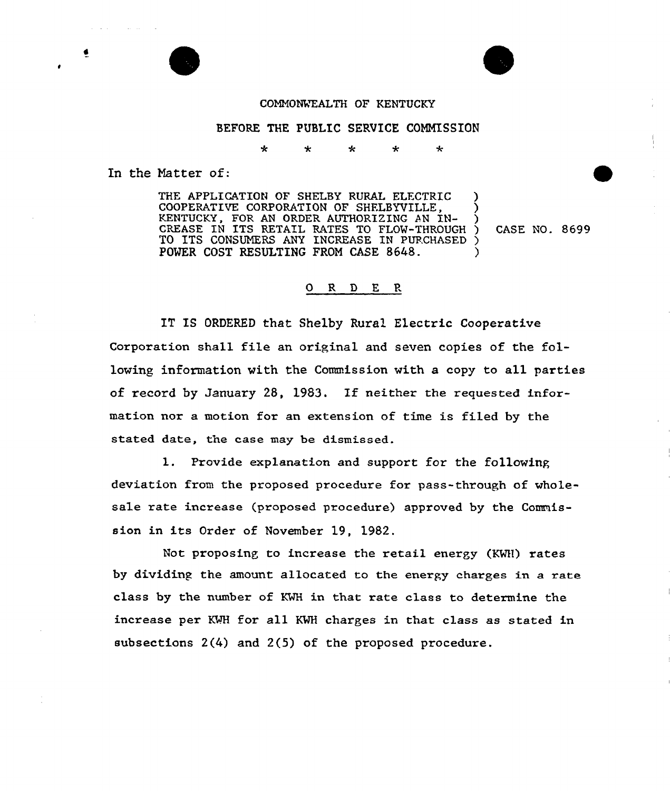## COMNONVEALTH OF KENTUCKY

÷

## BEFORE THE PUBLIC SERVICE COMMISSION

 $\star$ ÷

 $\star$ 

In the Matter of:

THE APPLICATION OF SHELBY RURAL ELECTRIC COOPERATIVE CORPORATION OF SHFLBYVILLE, ) KENTUCKY, FOR AN ORDER AUTHORIZING AN IN-CREASE IN ITS RETAIL RATES TO FLOW-THROUGH ) CASE NO. 8699 TO ITS CONSUMERS ANY INCREASE IN PURCHASED ) POWER COST RESULTING FROM CASE 8648.

## 0 R <sup>D</sup> E P.

IT IS ORDERED that Shelby Rural Electric Cooperative Corporation shall file an original and seven copies of the following information with the Commission with a copy to all parties of record by January 28, 1983. If neithex the requested information nor a motion for an extension of time is filed by the stated date, the case may be dismissed.

l. Provide explanation and support for the following deviation from the proposed procedure for pass-through of wholesale rate increase (proposed procedure) approved by the Commission in its Order of November 19, 1982.

Not proposing to increase the retail energy (KWH) rates by dividing the amount allocated to the energy charges in a rate class by the number of KWH in that rate class to determine the increase per KWH for all KWH charges in that class as stated in subsections 2(4) and 2(5) of the proposed procedure.